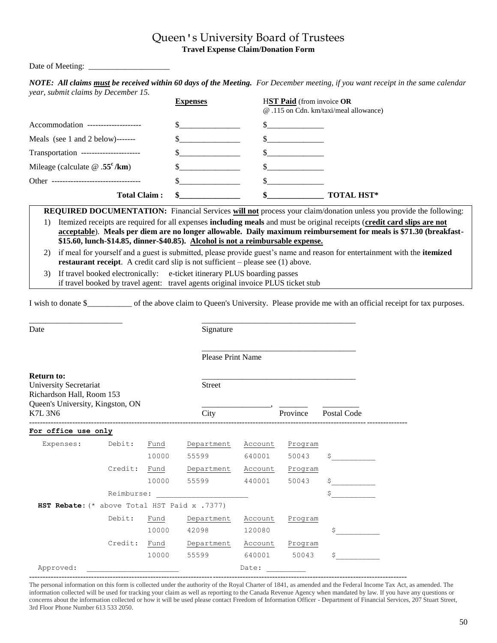## Queen's University Board of Trustees **Travel Expense Claim/Donation Form**

Date of Meeting:

| year, submit claims by December 15.   |                 |                                                                           |
|---------------------------------------|-----------------|---------------------------------------------------------------------------|
|                                       | <b>Expenses</b> | <b>HST Paid</b> (from invoice OR<br>@.115 on Cdn. km/taxi/meal allowance) |
| Accommodation --------------------    |                 |                                                                           |
| Meals (see 1 and 2 below)-------      |                 |                                                                           |
| Transportation ---------------------- |                 |                                                                           |
| Mileage (calculate $\omega$ .55°/km)  |                 |                                                                           |
| Other -----------------------------   |                 |                                                                           |
| <b>Total Claim:</b>                   |                 | <b>TOTAL HST*</b>                                                         |

*NOTE: All claims must be received within 60 days of the Meeting. For December meeting, if you want receipt in the same calendar* 

|                  | <b>REQUIRED DOCUMENTATION:</b> Financial Services will not process your claim/donation unless you provide the following:                                                                                                                                                                                                                              |  |  |  |  |  |
|------------------|-------------------------------------------------------------------------------------------------------------------------------------------------------------------------------------------------------------------------------------------------------------------------------------------------------------------------------------------------------|--|--|--|--|--|
| $\left  \right $ | Itemized receipts are required for all expenses <b>including meals</b> and must be original receipts (credit card slips are not                                                                                                                                                                                                                       |  |  |  |  |  |
|                  | acceptable). Meals per diem are no longer allowable. Daily maximum reimbursement for meals is \$71.30 (breakfast-                                                                                                                                                                                                                                     |  |  |  |  |  |
|                  | \$15.60, lunch-\$14.85, dinner-\$40.85). Alcohol is not a reimbursable expense.                                                                                                                                                                                                                                                                       |  |  |  |  |  |
|                  | $\mathcal{D} = \{f_1, f_2, f_3, f_4, f_5, f_6, f_7, f_8, f_9, f_9, f_{10}, f_{11}, f_{12}, f_{13}, f_{14}, f_{15}, f_{16}, f_{17}, f_{18}, f_{19}, f_{10}, f_{10}, f_{11}, f_{12}, f_{13}, f_{14}, f_{15}, f_{16}, f_{17}, f_{18}, f_{19}, f_{10}, f_{11}, f_{12}, f_{13}, f_{14}, f_{15}, f_{16}, f_{17}, f_{18}, f_{19}, f_{10}, f_{11}, f_{12}, f$ |  |  |  |  |  |

2) if meal for yourself and a guest is submitted, please provide guest's name and reason for entertainment with the **itemized restaurant receipt**. A credit card slip is not sufficient – please see (1) above.

3) If travel booked electronically: e-ticket itinerary PLUS boarding passes if travel booked by travel agent: travel agents original invoice PLUS ticket stub

I wish to donate \$\_\_\_\_\_\_\_\_\_\_\_ of the above claim to Queen's University. Please provide me with an official receipt for tax purposes.

\_\_\_\_\_\_\_\_\_\_\_\_\_\_\_\_\_\_\_\_\_\_\_\_\_\_\_\_\_\_\_\_\_\_\_\_\_\_

\_\_\_\_\_\_\_\_\_\_\_\_\_\_\_\_\_\_\_\_\_\_\_ \_\_\_\_\_\_\_\_\_\_\_\_\_\_\_\_\_\_\_\_\_\_\_\_\_\_\_\_\_\_\_\_\_\_\_\_\_\_ Date Signature

Please Print Name

| <b>Return to:</b><br>University Secretariat<br>Richardson Hall, Room 153<br>Queen's University, Kingston, ON<br>K7L 3N6 |            |       | <b>Street</b><br>City |         | Province | Postal Code |
|-------------------------------------------------------------------------------------------------------------------------|------------|-------|-----------------------|---------|----------|-------------|
| For office use only                                                                                                     |            |       |                       |         |          |             |
| Expenses:                                                                                                               | Debit:     | Fund  | Department            | Account | Program  |             |
|                                                                                                                         |            | 10000 | 55599                 | 640001  | 50043    | \$          |
|                                                                                                                         | Credit:    | Fund  | Department            | Account | Program  |             |
|                                                                                                                         |            | 10000 | 55599                 | 440001  | 50043    | \$          |
|                                                                                                                         | Reimburse: |       |                       |         |          | \$          |
| HST Rebate: (* above Total HST Paid x .7377)                                                                            |            |       |                       |         |          |             |
|                                                                                                                         | Debit:     | Fund  | Department            | Account | Program  |             |
|                                                                                                                         |            | 10000 | 42098                 | 120080  |          | Ś           |
|                                                                                                                         | Credit:    | Fund  | Department            | Account | Program  |             |
|                                                                                                                         |            | 10000 | 55599                 | 640001  | 50043    | Ś           |
| Approved:                                                                                                               |            |       |                       | Date:   |          |             |

The personal information on this form is collected under the authority of the Royal Charter of 1841, as amended and the Federal Income Tax Act, as amended. The information collected will be used for tracking your claim as well as reporting to the Canada Revenue Agency when mandated by law. If you have any questions or concerns about the information collected or how it will be used please contact Freedom of Information Officer - Department of Financial Services, 207 Stuart Street, 3rd Floor Phone Number 613 533 2050.